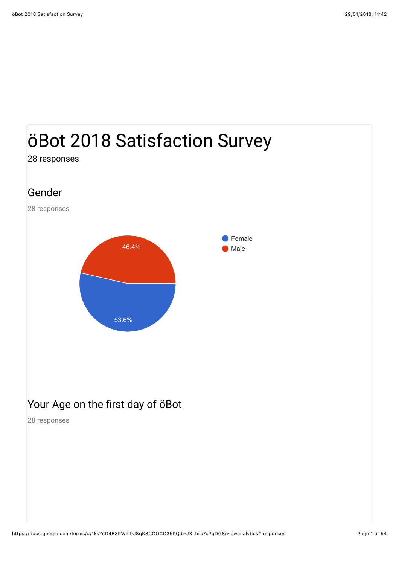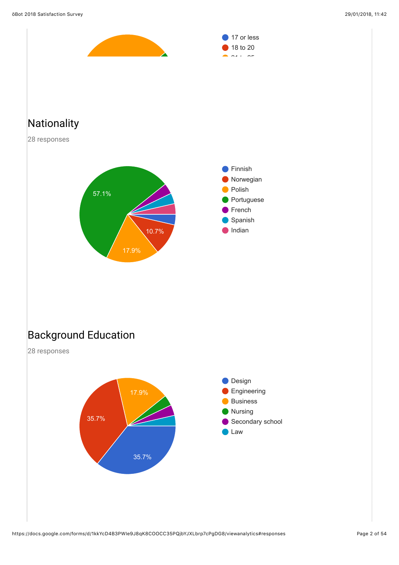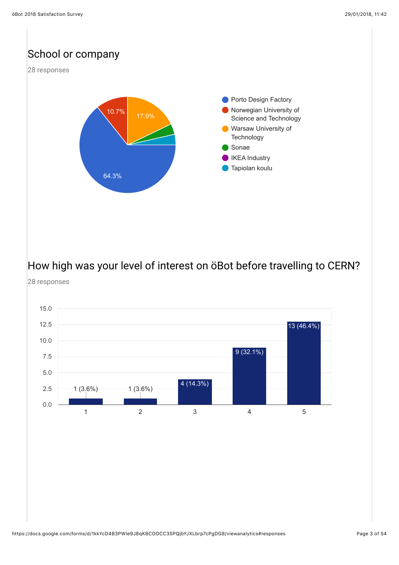

How high was your level of interest on öBot before travelling to CERN? 28 responses

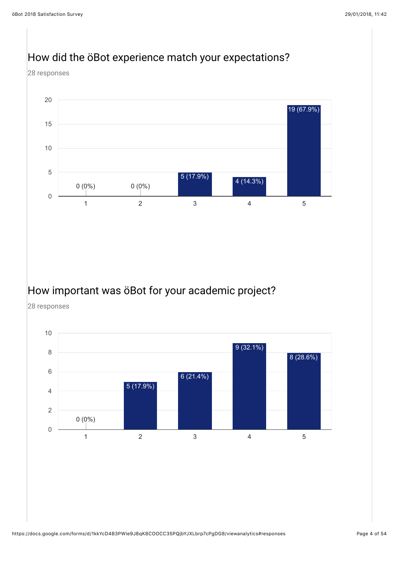#### How did the öBot experience match your expectations?

28 responses



#### How important was öBot for your academic project?

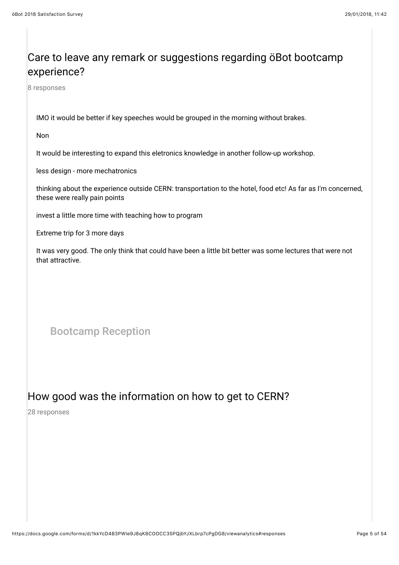#### Care to leave any remark or suggestions regarding öBot bootcamp experience?

8 responses

IMO it would be better if key speeches would be grouped in the morning without brakes.

Non

It would be interesting to expand this eletronics knowledge in another follow-up workshop.

less design - more mechatronics

thinking about the experience outside CERN: transportation to the hotel, food etc! As far as I'm concerned, these were really pain points

invest a little more time with teaching how to program

Extreme trip for 3 more days

It was very good. The only think that could have been a little bit better was some lectures that were not that attractive.

Bootcamp Reception

#### How good was the information on how to get to CERN?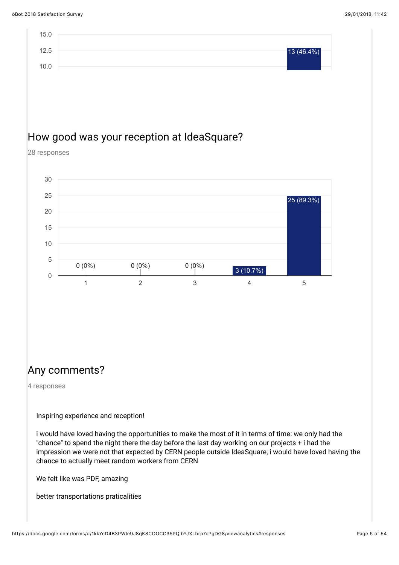

#### Any comments?

4 responses

Inspiring experience and reception!

i would have loved having the opportunities to make the most of it in terms of time: we only had the "chance" to spend the night there the day before the last day working on our projects + i had the impression we were not that expected by CERN people outside IdeaSquare, i would have loved having the chance to actually meet random workers from CERN

We felt like was PDF, amazing

better transportations praticalities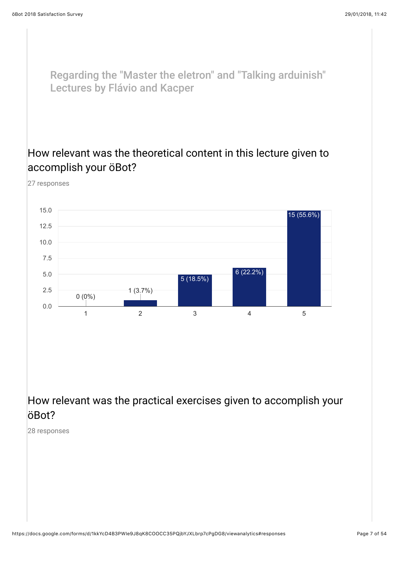27 responses

Regarding the "Master the eletron" and "Talking arduinish" Lectures by Flávio and Kacper

#### How relevant was the theoretical content in this lecture given to accomplish your öBot?

1 2 3 4 5 0.0 2.5 5.0 7.5 10.0 12.5 15.0  $0 (0\%)$  1 (3.7%) 5 (18.5%) 6 (22.2%) 15 (55.6%)

How relevant was the practical exercises given to accomplish your öBot?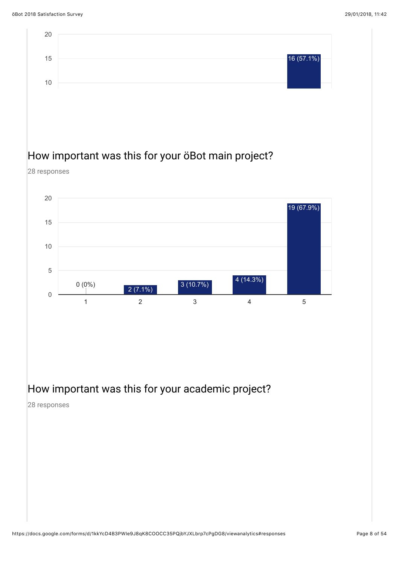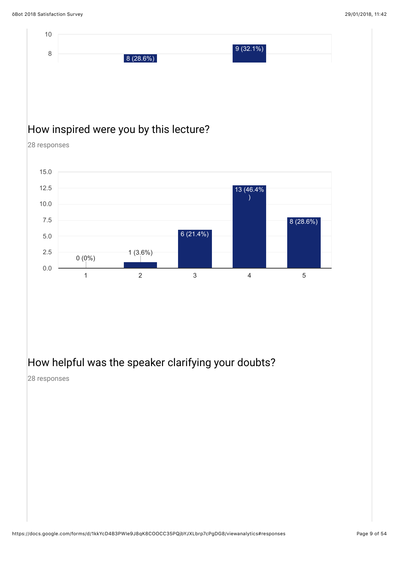

#### How helpful was the speaker clarifying your doubts?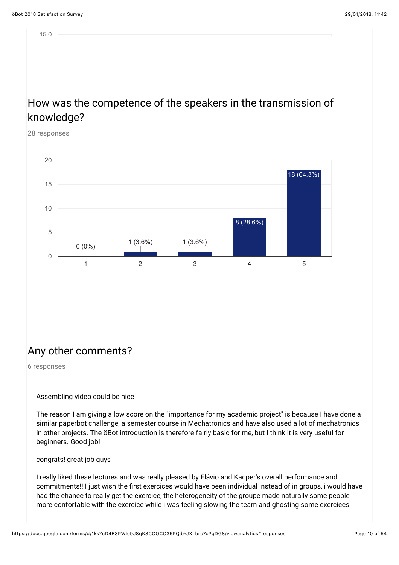15.0

#### How was the competence of the speakers in the transmission of knowledge?

28 responses



#### Any other comments?

6 responses

Assembling vídeo could be nice

The reason I am giving a low score on the "importance for my academic project" is because I have done a similar paperbot challenge, a semester course in Mechatronics and have also used a lot of mechatronics in other projects. The öBot introduction is therefore fairly basic for me, but I think it is very useful for beginners. Good job!

congrats! great job guys

I really liked these lectures and was really pleased by Flávio and Kacper's overall performance and commitments!! I just wish the first exercices would have been individual instead of in groups, i would have had the chance to really get the exercice, the heterogeneity of the groupe made naturally some people more confortable with the exercice while i was feeling slowing the team and ghosting some exercices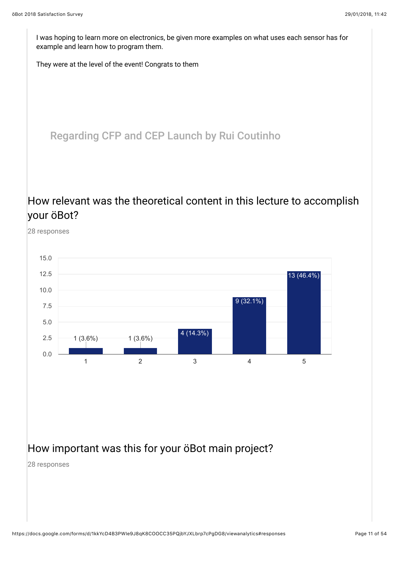I was hoping to learn more on electronics, be given more examples on what uses each sensor has for example and learn how to program them.

They were at the level of the event! Congrats to them

Regarding CFP and CEP Launch by Rui Coutinho

#### How relevant was the theoretical content in this lecture to accomplish your öBot?



#### How important was this for your öBot main project?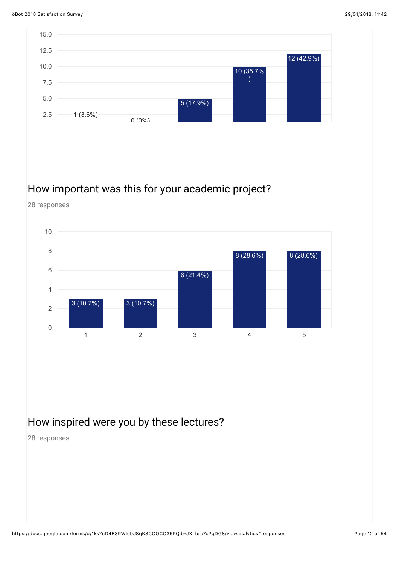

#### How important was this for your academic project?

28 responses



#### How inspired were you by these lectures?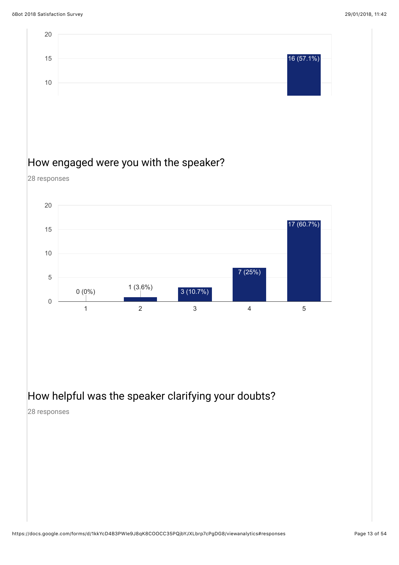

How helpful was the speaker clarifying your doubts?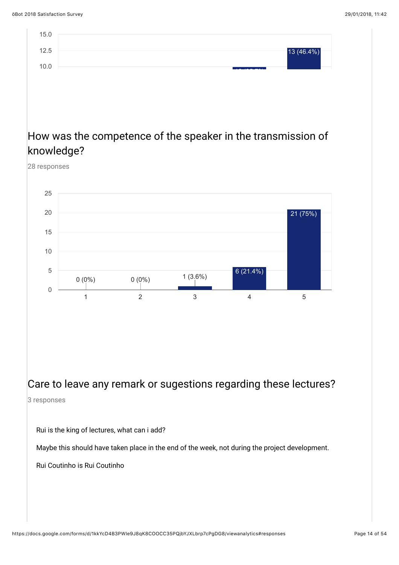

#### 28 responses



#### Care to leave any remark or sugestions regarding these lectures? 3 responses

Rui is the king of lectures, what can i add?

Maybe this should have taken place in the end of the week, not during the project development.

Rui Coutinho is Rui Coutinho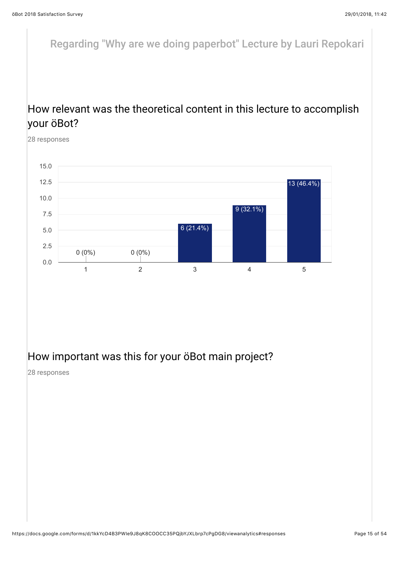Regarding "Why are we doing paperbot" Lecture by Lauri Repokari

#### How relevant was the theoretical content in this lecture to accomplish your öBot?

28 responses



#### How important was this for your öBot main project?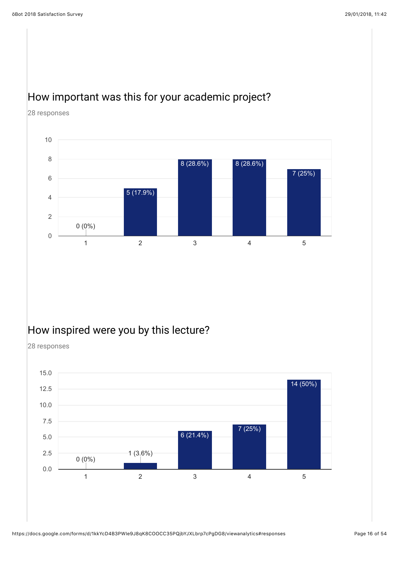#### How important was this for your academic project?

28 responses



#### How inspired were you by this lecture?

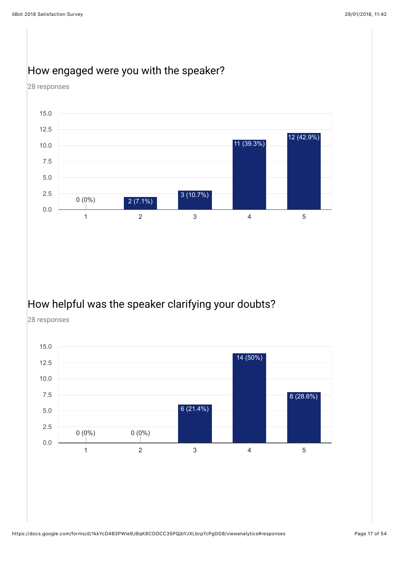

#### How engaged were you with the speaker?

## How helpful was the speaker clarifying your doubts?

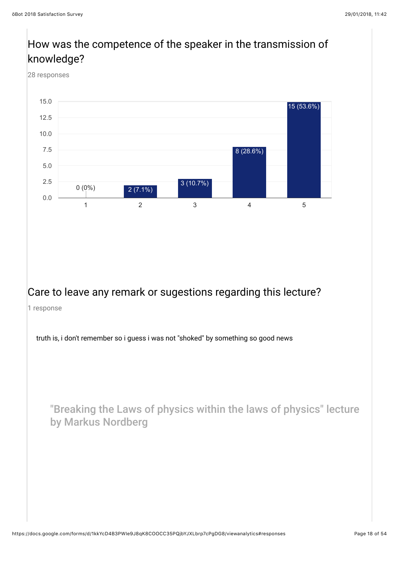## How was the competence of the speaker in the transmission of knowledge?

28 responses



#### Care to leave any remark or sugestions regarding this lecture?

1 response

truth is, i don't remember so i guess i was not "shoked" by something so good news

"Breaking the Laws of physics within the laws of physics" lecture by Markus Nordberg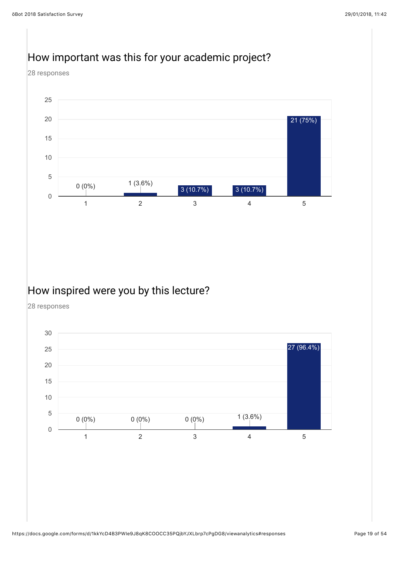#### How important was this for your academic project?

28 responses



#### How inspired were you by this lecture?

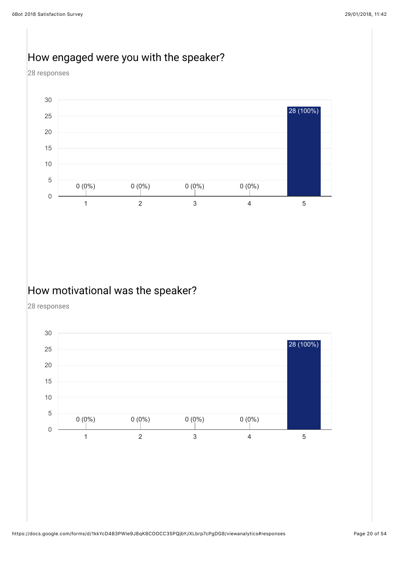#### How engaged were you with the speaker?

28 responses



#### How motivational was the speaker?

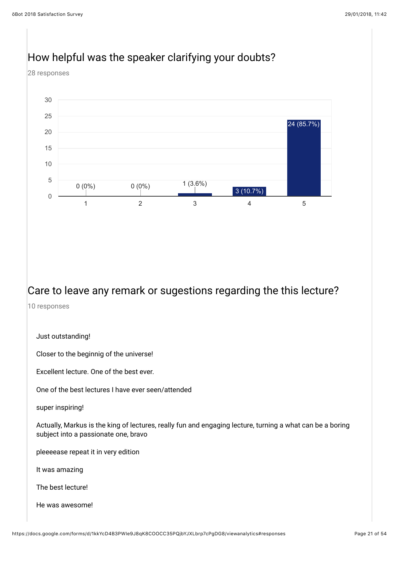# How helpful was the speaker clarifying your doubts?

28 responses



#### Care to leave any remark or sugestions regarding the this lecture?

10 responses

Just outstanding!

Closer to the beginnig of the universe!

Excellent lecture. One of the best ever.

One of the best lectures I have ever seen/attended

super inspiring!

Actually, Markus is the king of lectures, really fun and engaging lecture, turning a what can be a boring subject into a passionate one, bravo

pleeeease repeat it in very edition

It was amazing

The best lecture!

He was awesome!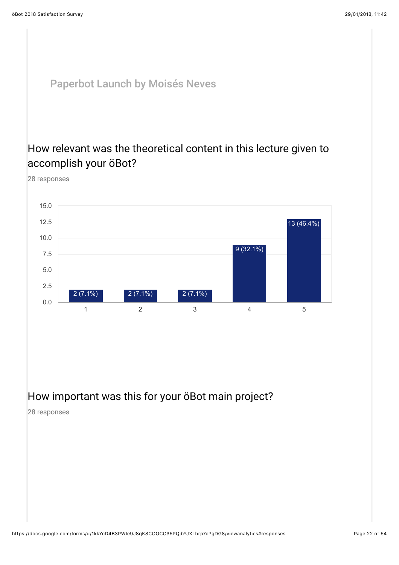#### Paperbot Launch by Moisés Neves

#### How relevant was the theoretical content in this lecture given to accomplish your öBot?

28 responses



#### How important was this for your öBot main project?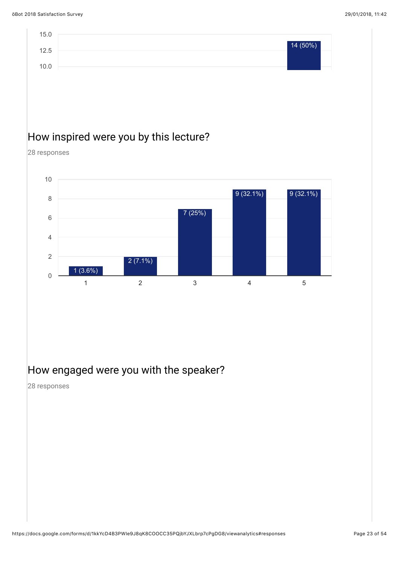

1 2 3 4 5

#### How engaged were you with the speaker?

 $2(7.1\%)$ 

28 responses

0

1 (3.6%)

2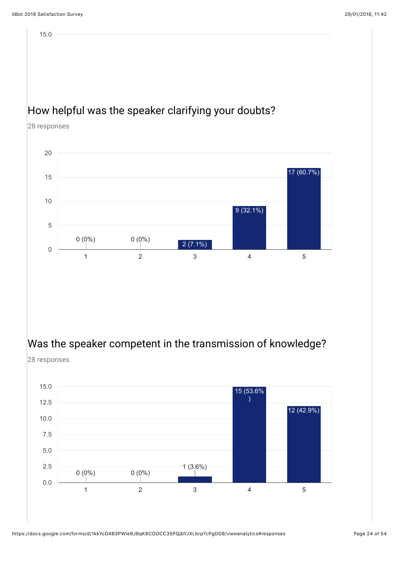15.0

#### How helpful was the speaker clarifying your doubts?

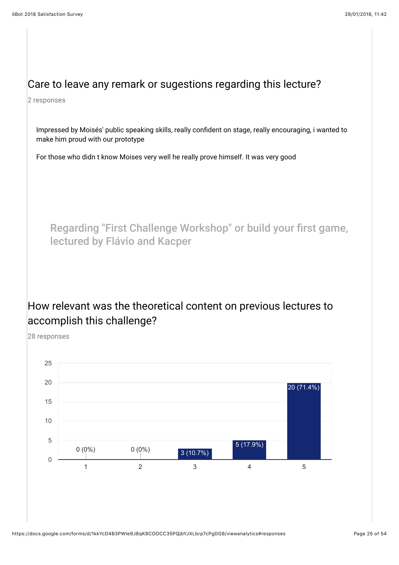#### Care to leave any remark or sugestions regarding this lecture?

2 responses

Impressed by Moisés' public speaking skills, really confident on stage, really encouraging, i wanted to make him proud with our prototype

For those who didn t know Moises very well he really prove himself. It was very good

Regarding "First Challenge Workshop" or build your first game, lectured by Flávio and Kacper

#### How relevant was the theoretical content on previous lectures to accomplish this challenge?

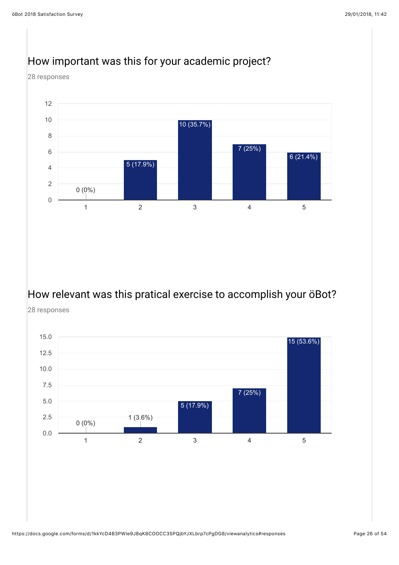

#### How important was this for your academic project?

#### How relevant was this pratical exercise to accomplish your öBot?

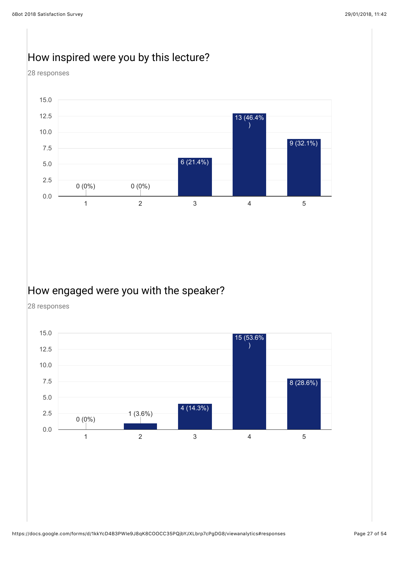#### How inspired were you by this lecture?

28 responses



#### How engaged were you with the speaker?

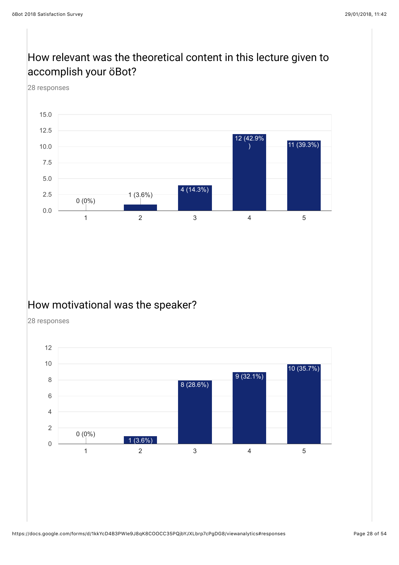## How relevant was the theoretical content in this lecture given to accomplish your öBot?

28 responses



#### How motivational was the speaker?

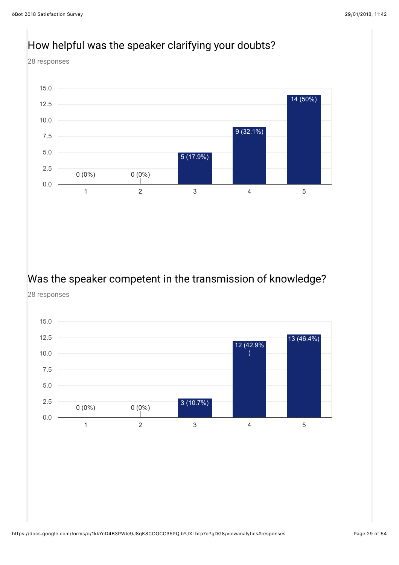

# Was the speaker competent in the transmission of knowledge?

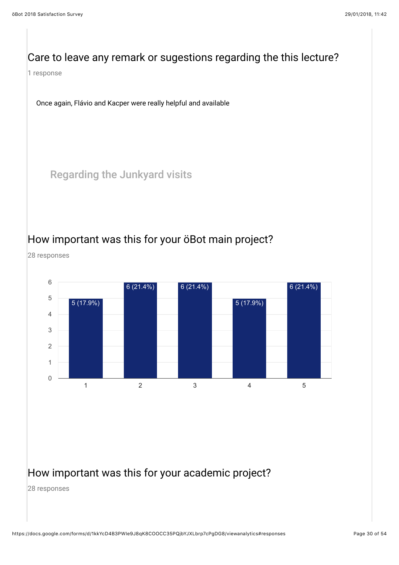#### Care to leave any remark or sugestions regarding the this lecture?

1 response

Once again, Flávio and Kacper were really helpful and available

Regarding the Junkyard visits

#### How important was this for your öBot main project?

28 responses



#### How important was this for your academic project?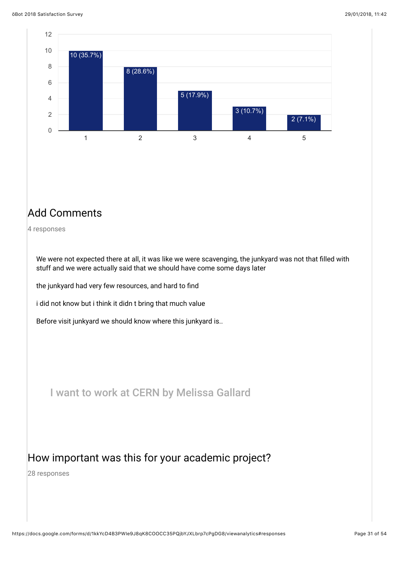

#### Add Comments

4 responses

We were not expected there at all, it was like we were scavenging, the junkyard was not that filled with stuff and we were actually said that we should have come some days later

the junkyard had very few resources, and hard to find

i did not know but i think it didn t bring that much value

Before visit junkyard we should know where this junkyard is..

I want to work at CERN by Melissa Gallard

#### How important was this for your academic project?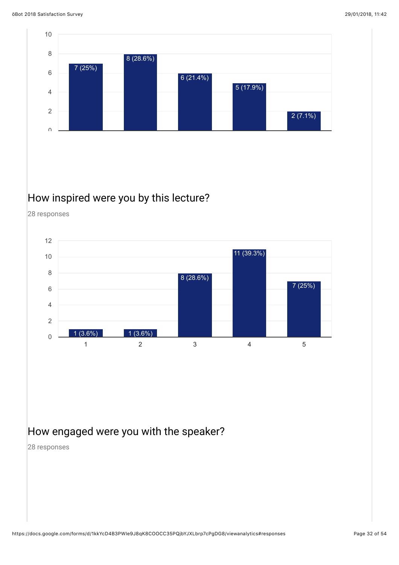

#### How inspired were you by this lecture?

28 responses



#### How engaged were you with the speaker?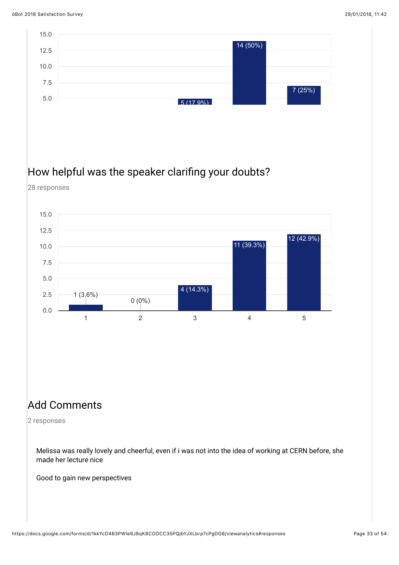

#### Add Comments

2 responses

Melissa was really lovely and cheerful, even if i was not into the idea of working at CERN before, she made her lecture nice

Good to gain new perspectives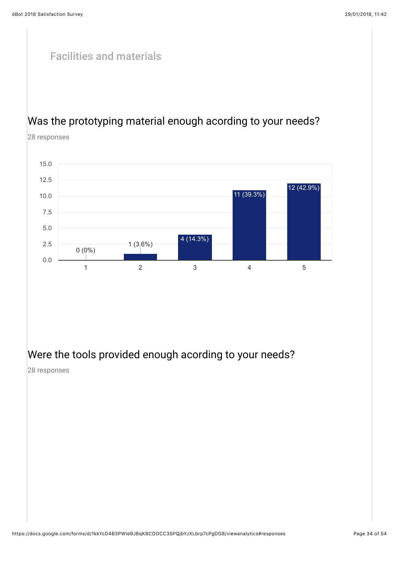# Facilities and materials Was the prototyping material enough acording to your needs? 28 responses



#### Were the tools provided enough acording to your needs?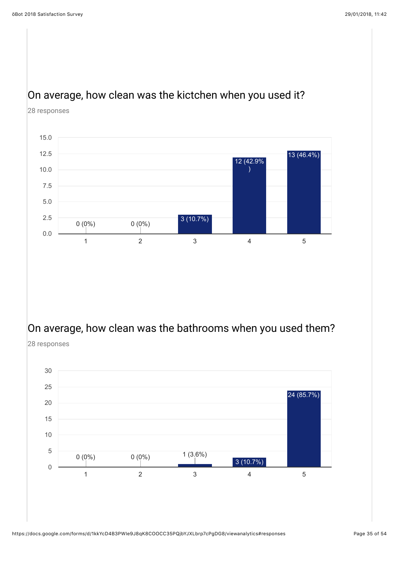#### On average, how clean was the kictchen when you used it?





#### On average, how clean was the bathrooms when you used them?

28 responses

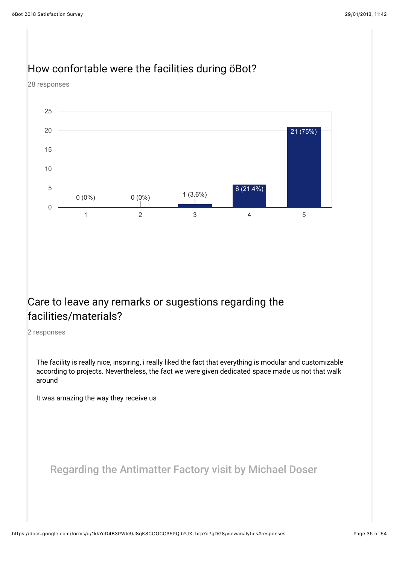

#### How confortable were the facilities during öBot?

28 responses

#### Care to leave any remarks or sugestions regarding the facilities/materials?

2 responses

The facility is really nice, inspiring, i really liked the fact that everything is modular and customizable according to projects. Nevertheless, the fact we were given dedicated space made us not that walk around

It was amazing the way they receive us

Regarding the Antimatter Factory visit by Michael Doser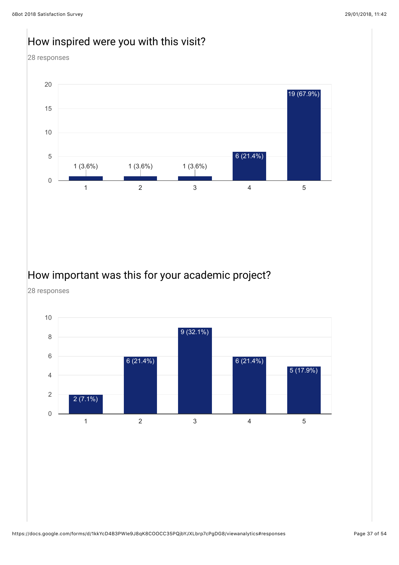#### How inspired were you with this visit?

28 responses



#### How important was this for your academic project?

28 responses

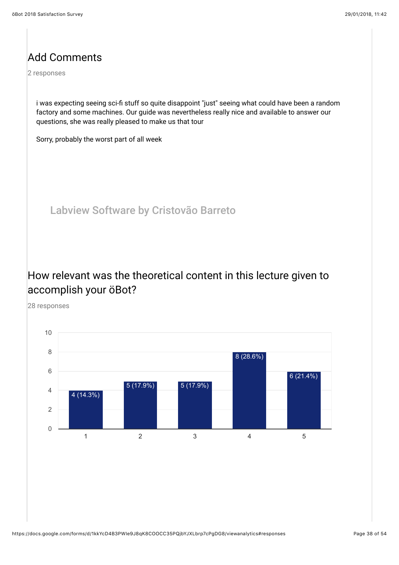#### Add Comments

2 responses

i was expecting seeing sci-fi stuff so quite disappoint "just" seeing what could have been a random factory and some machines. Our guide was nevertheless really nice and available to answer our questions, she was really pleased to make us that tour

Sorry, probably the worst part of all week

Labview Software by Cristovão Barreto

#### How relevant was the theoretical content in this lecture given to accomplish your öBot?

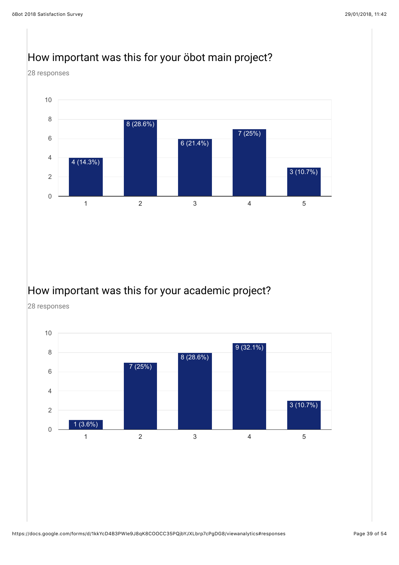#### 28 responses 1 2 3 4 5 0 2 4 6 8 10 4 (14.3%) 8 (28.6%) 6 (21.4%) 7 (25%) 3 (10.7%)

#### How important was this for your öbot main project?

#### How important was this for your academic project?

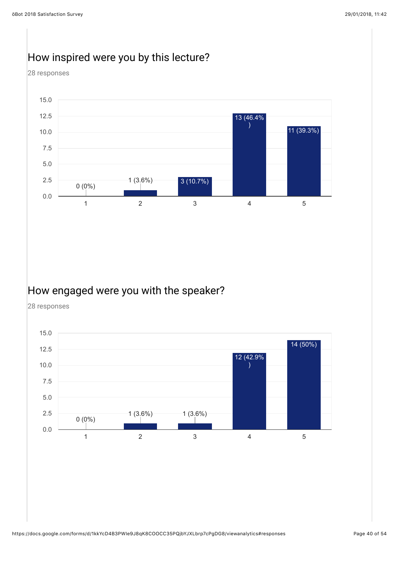#### How inspired were you by this lecture?

28 responses



#### How engaged were you with the speaker?

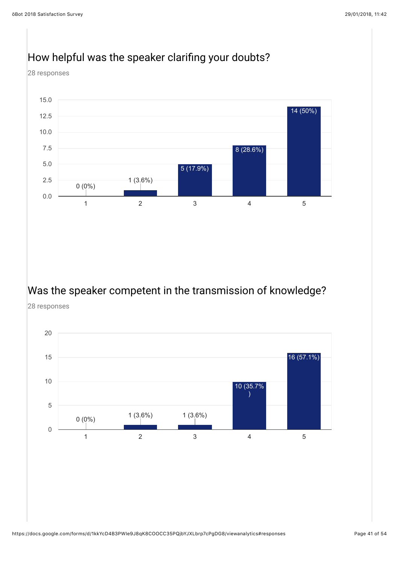

#### How helpful was the speaker clarifing your doubts?

# Was the speaker competent in the transmission of knowledge?

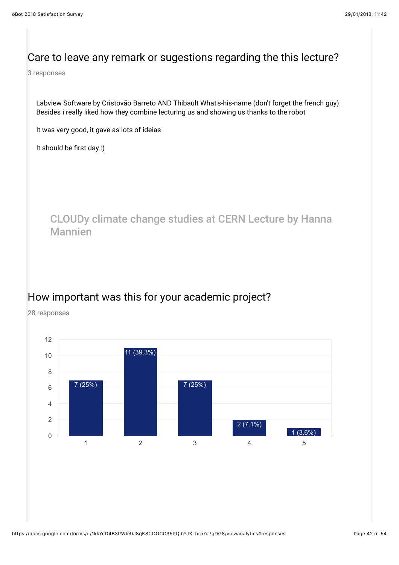#### Care to leave any remark or sugestions regarding the this lecture?

3 responses

Labview Software by Cristovão Barreto AND Thibault What's-his-name (don't forget the french guy). Besides i really liked how they combine lecturing us and showing us thanks to the robot

It was very good, it gave as lots of ideias

It should be first day :)

CLOUDy climate change studies at CERN Lecture by Hanna Mannien

#### How important was this for your academic project?

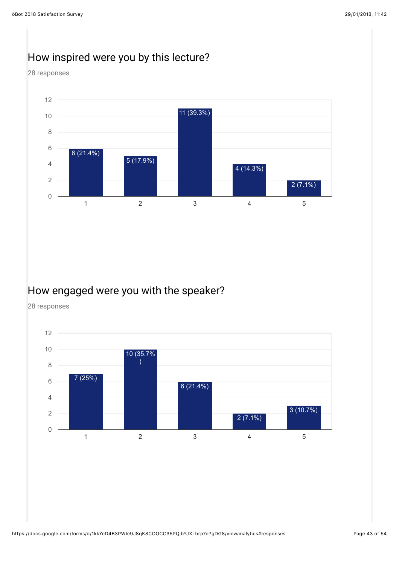#### How inspired were you by this lecture?

28 responses



#### How engaged were you with the speaker?

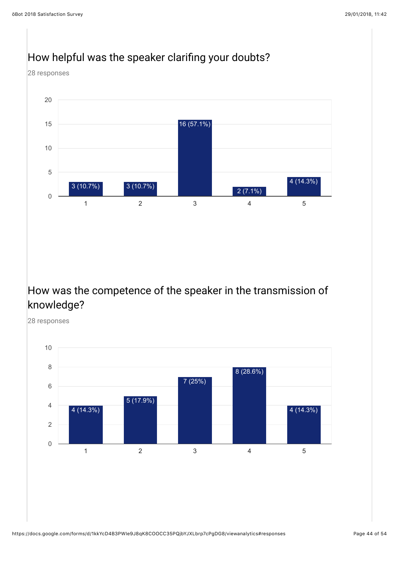

#### How was the competence of the speaker in the transmission of knowledge?



#### How helpful was the speaker clarifing your doubts?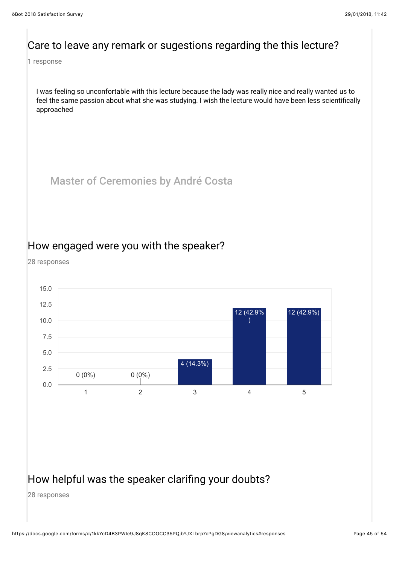#### Care to leave any remark or sugestions regarding the this lecture?

1 response

I was feeling so unconfortable with this lecture because the lady was really nice and really wanted us to feel the same passion about what she was studying. I wish the lecture would have been less scientifically approached

Master of Ceremonies by André Costa

#### How engaged were you with the speaker?

28 responses



#### How helpful was the speaker clarifing your doubts?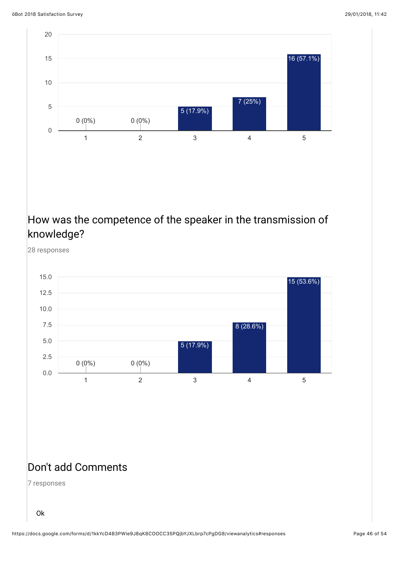

# How was the competence of the speaker in the transmission of knowledge?

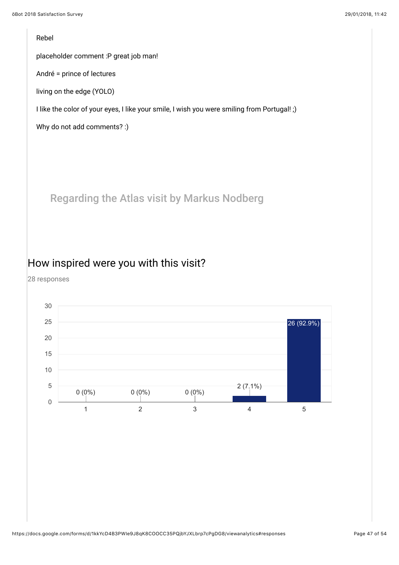#### Rebel

placeholder comment :P great job man!

André = prince of lectures

living on the edge (YOLO)

I like the color of your eyes, I like your smile, I wish you were smiling from Portugal! ;)

Why do not add comments? :)

Regarding the Atlas visit by Markus Nodberg

#### How inspired were you with this visit?

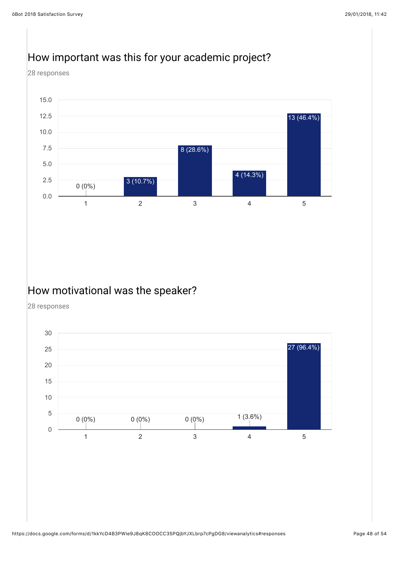#### How important was this for your academic project?

28 responses



#### How motivational was the speaker?

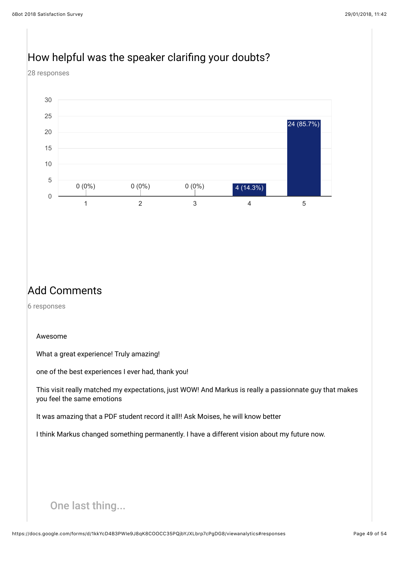## How helpful was the speaker clarifing your doubts?

28 responses



#### Add Comments

6 responses

#### Awesome

What a great experience! Truly amazing!

one of the best experiences I ever had, thank you!

This visit really matched my expectations, just WOW! And Markus is really a passionnate guy that makes you feel the same emotions

It was amazing that a PDF student record it all!! Ask Moises, he will know better

I think Markus changed something permanently. I have a different vision about my future now.

#### One last thing...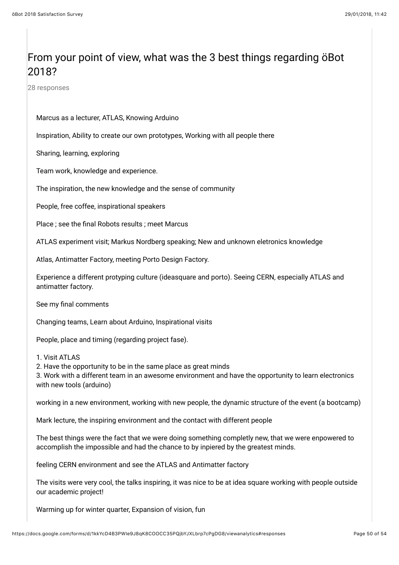#### From your point of view, what was the 3 best things regarding öBot 2018?

28 responses

#### Marcus as a lecturer, ATLAS, Knowing Arduino

Inspiration, Ability to create our own prototypes, Working with all people there

Sharing, learning, exploring

Team work, knowledge and experience.

The inspiration, the new knowledge and the sense of community

People, free coffee, inspirational speakers

Place ; see the final Robots results ; meet Marcus

ATLAS experiment visit; Markus Nordberg speaking; New and unknown eletronics knowledge

Atlas, Antimatter Factory, meeting Porto Design Factory.

Experience a different protyping culture (ideasquare and porto). Seeing CERN, especially ATLAS and antimatter factory.

See my final comments

Changing teams, Learn about Arduino, Inspirational visits

People, place and timing (regarding project fase).

1. Visit ATLAS

2. Have the opportunity to be in the same place as great minds

3. Work with a different team in an awesome environment and have the opportunity to learn electronics with new tools (arduino)

working in a new environment, working with new people, the dynamic structure of the event (a bootcamp)

Mark lecture, the inspiring environment and the contact with different people

The best things were the fact that we were doing something completly new, that we were enpowered to accomplish the impossible and had the chance to by inpiered by the greatest minds.

feeling CERN environment and see the ATLAS and Antimatter factory

The visits were very cool, the talks inspiring, it was nice to be at idea square working with people outside our academic project!

Warming up for winter quarter, Expansion of vision, fun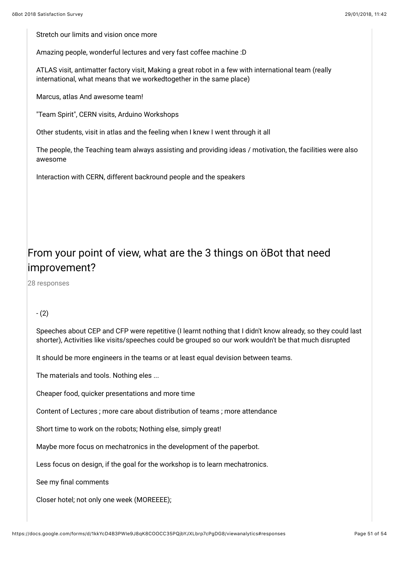Stretch our limits and vision once more

Amazing people, wonderful lectures and very fast coffee machine :D

ATLAS visit, antimatter factory visit, Making a great robot in a few with international team (really international, what means that we workedtogether in the same place)

Marcus, atlas And awesome team!

"Team Spirit", CERN visits, Arduino Workshops

Other students, visit in atlas and the feeling when I knew I went through it all

The people, the Teaching team always assisting and providing ideas / motivation, the facilities were also awesome

Interaction with CERN, different backround people and the speakers

#### From your point of view, what are the 3 things on öBot that need improvement?

28 responses

#### - (2)

Speeches about CEP and CFP were repetitive (I learnt nothing that I didn't know already, so they could last shorter), Activities like visits/speeches could be grouped so our work wouldn't be that much disrupted

It should be more engineers in the teams or at least equal devision between teams.

The materials and tools. Nothing eles ...

Cheaper food, quicker presentations and more time

Content of Lectures ; more care about distribution of teams ; more attendance

Short time to work on the robots; Nothing else, simply great!

Maybe more focus on mechatronics in the development of the paperbot.

Less focus on design, if the goal for the workshop is to learn mechatronics.

See my final comments

Closer hotel; not only one week (MOREEEE);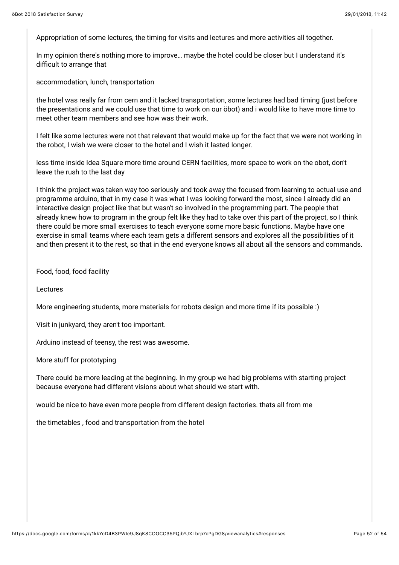Appropriation of some lectures, the timing for visits and lectures and more activities all together.

In my opinion there's nothing more to improve… maybe the hotel could be closer but I understand it's difficult to arrange that

accommodation, lunch, transportation

the hotel was really far from cern and it lacked transportation, some lectures had bad timing (just before the presentations and we could use that time to work on our öbot) and i would like to have more time to meet other team members and see how was their work.

I felt like some lectures were not that relevant that would make up for the fact that we were not working in the robot, I wish we were closer to the hotel and I wish it lasted longer.

less time inside Idea Square more time around CERN facilities, more space to work on the obot, don't leave the rush to the last day

I think the project was taken way too seriously and took away the focused from learning to actual use and programme arduino, that in my case it was what I was looking forward the most, since I already did an interactive design project like that but wasn't so involved in the programming part. The people that already knew how to program in the group felt like they had to take over this part of the project, so I think there could be more small exercises to teach everyone some more basic functions. Maybe have one exercise in small teams where each team gets a different sensors and explores all the possibilities of it and then present it to the rest, so that in the end everyone knows all about all the sensors and commands.

Food, food, food facility

Lectures

More engineering students, more materials for robots design and more time if its possible :)

Visit in junkyard, they aren't too important.

Arduino instead of teensy, the rest was awesome.

More stuff for prototyping

There could be more leading at the beginning. In my group we had big problems with starting project because everyone had different visions about what should we start with.

would be nice to have even more people from different design factories. thats all from me

the timetables , food and transportation from the hotel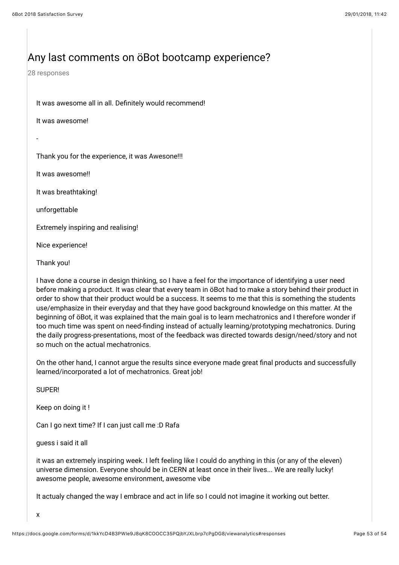#### Any last comments on öBot bootcamp experience?

28 responses

It was awesome all in all. Definitely would recommend!

It was awesome!

-

Thank you for the experience, it was Awesone!!!

It was awesome!!

It was breathtaking!

unforgettable

Extremely inspiring and realising!

Nice experience!

Thank you!

I have done a course in design thinking, so I have a feel for the importance of identifying a user need before making a product. It was clear that every team in öBot had to make a story behind their product in order to show that their product would be a success. It seems to me that this is something the students use/emphasize in their everyday and that they have good background knowledge on this matter. At the beginning of öBot, it was explained that the main goal is to learn mechatronics and I therefore wonder if too much time was spent on need-finding instead of actually learning/prototyping mechatronics. During the daily progress-presentations, most of the feedback was directed towards design/need/story and not so much on the actual mechatronics.

On the other hand, I cannot argue the results since everyone made great final products and successfully learned/incorporated a lot of mechatronics. Great job!

SUPER!

Keep on doing it !

Can I go next time? If I can just call me :D Rafa

guess i said it all

it was an extremely inspiring week. I left feeling like I could do anything in this (or any of the eleven) universe dimension. Everyone should be in CERN at least once in their lives... We are really lucky! awesome people, awesome environment, awesome vibe

It actualy changed the way I embrace and act in life so I could not imagine it working out better.

x